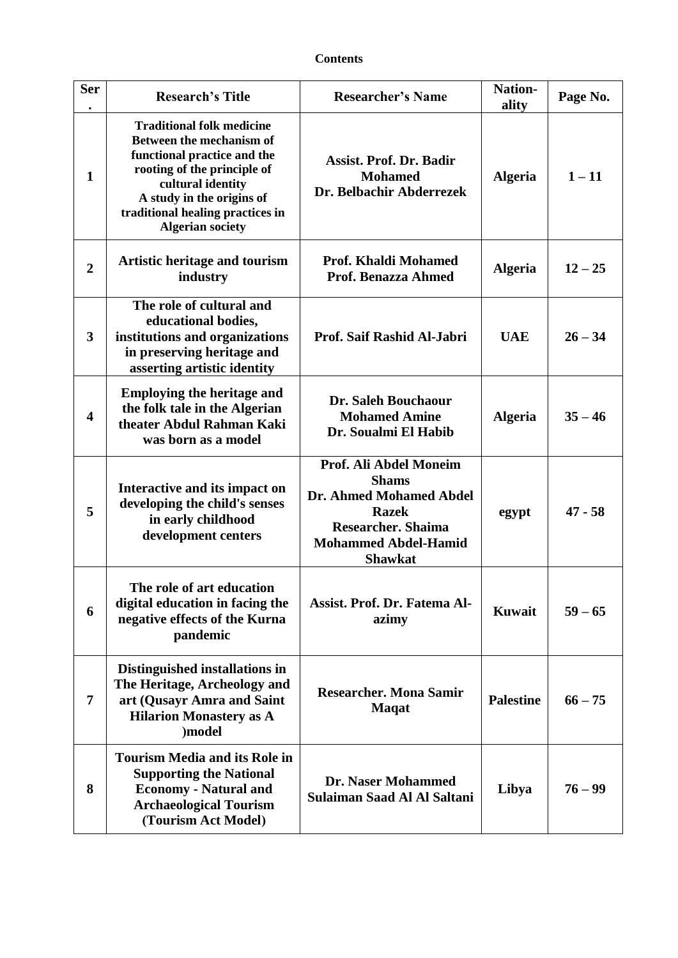## **Contents**

| <b>Ser</b>     | <b>Research's Title</b>                                                                                                                                                                                                                     | <b>Researcher's Name</b>                                                                                                                                        | <b>Nation-</b><br>ality | Page No.  |
|----------------|---------------------------------------------------------------------------------------------------------------------------------------------------------------------------------------------------------------------------------------------|-----------------------------------------------------------------------------------------------------------------------------------------------------------------|-------------------------|-----------|
| $\mathbf{1}$   | <b>Traditional folk medicine</b><br>Between the mechanism of<br>functional practice and the<br>rooting of the principle of<br>cultural identity<br>A study in the origins of<br>traditional healing practices in<br><b>Algerian society</b> | <b>Assist. Prof. Dr. Badir</b><br><b>Mohamed</b><br>Dr. Belbachir Abderrezek                                                                                    | <b>Algeria</b>          | $1 - 11$  |
| $\overline{2}$ | <b>Artistic heritage and tourism</b><br>industry                                                                                                                                                                                            | Prof. Khaldi Mohamed<br>Prof. Benazza Ahmed                                                                                                                     | <b>Algeria</b>          | $12 - 25$ |
| 3              | The role of cultural and<br>educational bodies,<br>institutions and organizations<br>in preserving heritage and<br>asserting artistic identity                                                                                              | Prof. Saif Rashid Al-Jabri                                                                                                                                      | <b>UAE</b>              | $26 - 34$ |
| 4              | <b>Employing the heritage and</b><br>the folk tale in the Algerian<br>theater Abdul Rahman Kaki<br>was born as a model                                                                                                                      | Dr. Saleh Bouchaour<br><b>Mohamed Amine</b><br>Dr. Soualmi El Habib                                                                                             | <b>Algeria</b>          | $35 - 46$ |
| 5              | Interactive and its impact on<br>developing the child's senses<br>in early childhood<br>development centers                                                                                                                                 | Prof. Ali Abdel Moneim<br><b>Shams</b><br>Dr. Ahmed Mohamed Abdel<br><b>Razek</b><br><b>Researcher. Shaima</b><br><b>Mohammed Abdel-Hamid</b><br><b>Shawkat</b> | egypt                   | $47 - 58$ |
| 6              | The role of art education<br>digital education in facing the<br>negative effects of the Kurna<br>pandemic                                                                                                                                   | Assist. Prof. Dr. Fatema Al-<br>azimy                                                                                                                           | Kuwait                  | $59 - 65$ |
| 7              | Distinguished installations in<br>The Heritage, Archeology and<br>art (Qusayr Amra and Saint<br><b>Hilarion Monastery as A</b><br>)model                                                                                                    | <b>Researcher. Mona Samir</b><br><b>Maqat</b>                                                                                                                   | <b>Palestine</b>        | $66 - 75$ |
| 8              | <b>Tourism Media and its Role in</b><br><b>Supporting the National</b><br><b>Economy - Natural and</b><br><b>Archaeological Tourism</b><br>(Tourism Act Model)                                                                              | Dr. Naser Mohammed<br>Sulaiman Saad Al Al Saltani                                                                                                               | Libya                   | $76 - 99$ |